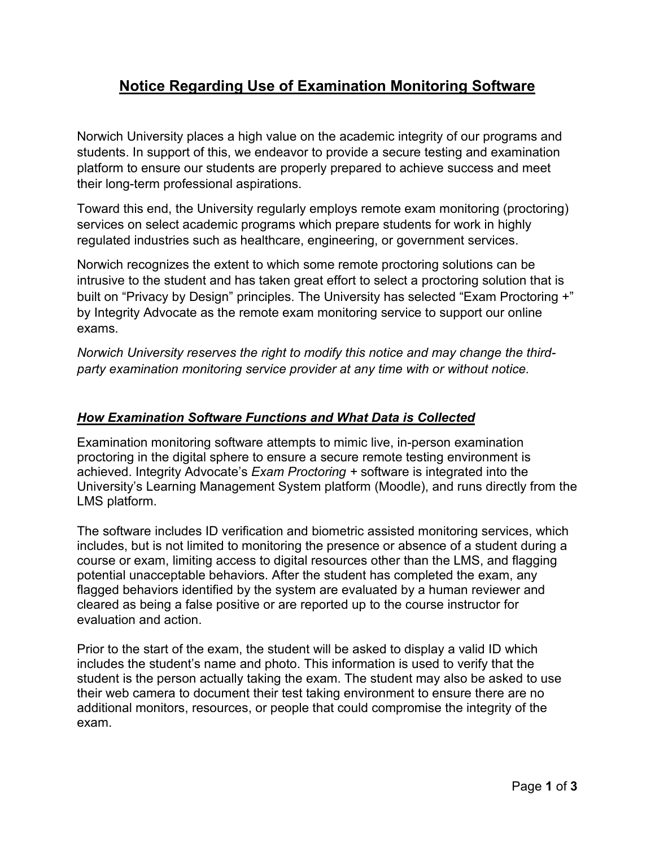# **Notice Regarding Use of Examination Monitoring Software**

Norwich University places a high value on the academic integrity of our programs and students. In support of this, we endeavor to provide a secure testing and examination platform to ensure our students are properly prepared to achieve success and meet their long-term professional aspirations.

Toward this end, the University regularly employs remote exam monitoring (proctoring) services on select academic programs which prepare students for work in highly regulated industries such as healthcare, engineering, or government services.

Norwich recognizes the extent to which some remote proctoring solutions can be intrusive to the student and has taken great effort to select a proctoring solution that is built on "Privacy by Design" principles. The University has selected "Exam Proctoring +" by Integrity Advocate as the remote exam monitoring service to support our online exams.

*Norwich University reserves the right to modify this notice and may change the thirdparty examination monitoring service provider at any time with or without notice.* 

## *How Examination Software Functions and What Data is Collected*

Examination monitoring software attempts to mimic live, in-person examination proctoring in the digital sphere to ensure a secure remote testing environment is achieved. Integrity Advocate's *Exam Proctoring +* software is integrated into the University's Learning Management System platform (Moodle), and runs directly from the LMS platform.

The software includes ID verification and biometric assisted monitoring services, which includes, but is not limited to monitoring the presence or absence of a student during a course or exam, limiting access to digital resources other than the LMS, and flagging potential unacceptable behaviors. After the student has completed the exam, any flagged behaviors identified by the system are evaluated by a human reviewer and cleared as being a false positive or are reported up to the course instructor for evaluation and action.

Prior to the start of the exam, the student will be asked to display a valid ID which includes the student's name and photo. This information is used to verify that the student is the person actually taking the exam. The student may also be asked to use their web camera to document their test taking environment to ensure there are no additional monitors, resources, or people that could compromise the integrity of the exam.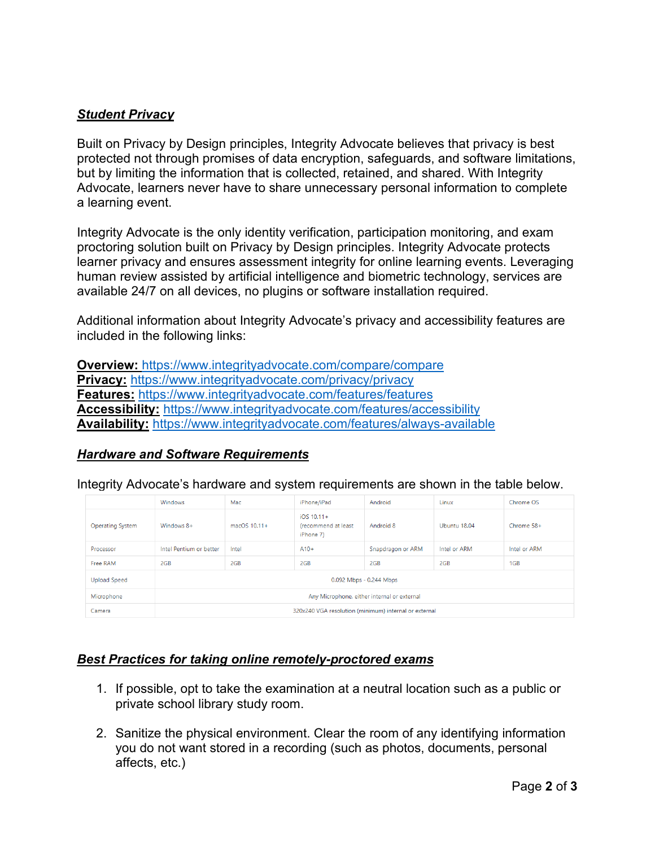### *Student Privacy*

Built on Privacy by Design principles, Integrity Advocate believes that privacy is best protected not through promises of data encryption, safeguards, and software limitations, but by limiting the information that is collected, retained, and shared. With Integrity Advocate, learners never have to share unnecessary personal information to complete a learning event.

Integrity Advocate is the only identity verification, participation monitoring, and exam proctoring solution built on Privacy by Design principles. Integrity Advocate protects learner privacy and ensures assessment integrity for online learning events. Leveraging human review assisted by artificial intelligence and biometric technology, services are available 24/7 on all devices, no plugins or software installation required.

Additional information about Integrity Advocate's privacy and accessibility features are included in the following links:

**Overview:** <https://www.integrityadvocate.com/compare/compare> **Privacy:** <https://www.integrityadvocate.com/privacy/privacy> **Features:** <https://www.integrityadvocate.com/features/features> **Accessibility:** <https://www.integrityadvocate.com/features/accessibility> **Availability:** <https://www.integrityadvocate.com/features/always-available>

## *Hardware and Software Requirements*

Integrity Advocate's hardware and system requirements are shown in the table below.

|                         | Windows                                               | Mac          | iPhone/iPad                                      | Android           | Linux        | Chrome OS    |
|-------------------------|-------------------------------------------------------|--------------|--------------------------------------------------|-------------------|--------------|--------------|
| <b>Operating System</b> | Windows 8+                                            | macOS 10.11+ | $IOS 10.11+$<br>(recommend at least<br>iPhone 7) | Android 8         | Ubuntu 18.04 | Chrome 58+   |
| Processor               | Intel Pentium or better                               | Intel        | $A10+$                                           | Snapdragon or ARM | Intel or ARM | Intel or ARM |
| Free RAM                | 2GB                                                   | 2GB          | 2GB                                              | 2GB               | 2GB          | 1GB          |
| <b>Upload Speed</b>     | 0.092 Mbps - 0.244 Mbps                               |              |                                                  |                   |              |              |
| Microphone              | Any Microphone, either internal or external           |              |                                                  |                   |              |              |
| Camera                  | 320x240 VGA resolution (minimum) internal or external |              |                                                  |                   |              |              |

#### *Best Practices for taking online remotely-proctored exams*

- 1. If possible, opt to take the examination at a neutral location such as a public or private school library study room.
- 2. Sanitize the physical environment. Clear the room of any identifying information you do not want stored in a recording (such as photos, documents, personal affects, etc.)